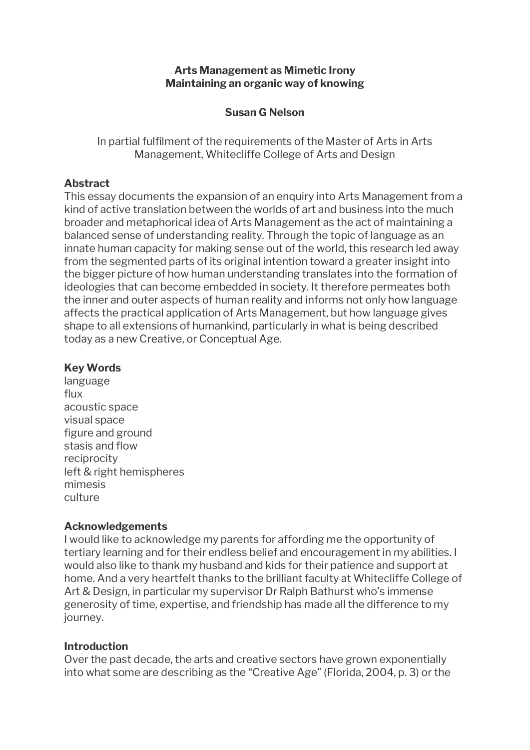### **Arts Management as Mimetic Irony Maintaining an organic way of knowing**

## **Susan G Nelson**

In partial fulfilment of the requirements of the Master of Arts in Arts Management, Whitecliffe College of Arts and Design

# **Abstract**

This essay documents the expansion of an enquiry into Arts Management from a kind of active translation between the worlds of art and business into the much broader and metaphorical idea of Arts Management as the act of maintaining a balanced sense of understanding reality. Through the topic of language as an innate human capacity for making sense out of the world, this research led away from the segmented parts of its original intention toward a greater insight into the bigger picture of how human understanding translates into the formation of ideologies that can become embedded in society. It therefore permeates both the inner and outer aspects of human reality and informs not only how language affects the practical application of Arts Management, but how language gives shape to all extensions of humankind, particularly in what is being described today as a new Creative, or Conceptual Age.

## **Key Words**

language flux acoustic space visual space figure and ground stasis and flow reciprocity left & right hemispheres mimesis culture

## **Acknowledgements**

I would like to acknowledge my parents for affording me the opportunity of tertiary learning and for their endless belief and encouragement in my abilities. I would also like to thank my husband and kids for their patience and support at home. And a very heartfelt thanks to the brilliant faculty at Whitecliffe College of Art & Design, in particular my supervisor Dr Ralph Bathurst who's immense generosity of time, expertise, and friendship has made all the difference to my journey.

## **Introduction**

Over the past decade, the arts and creative sectors have grown exponentially into what some are describing as the "Creative Age" (Florida, 2004, p. 3) or the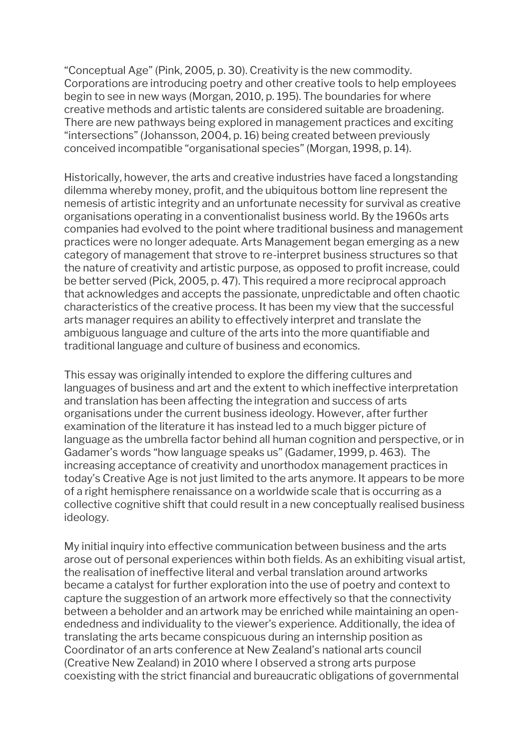"Conceptual Age" (Pink, 2005, p. 30). Creativity is the new commodity. Corporations are introducing poetry and other creative tools to help employees begin to see in new ways (Morgan, 2010, p. 195). The boundaries for where creative methods and artistic talents are considered suitable are broadening. There are new pathways being explored in management practices and exciting "intersections" (Johansson, 2004, p. 16) being created between previously conceived incompatible "organisational species" (Morgan, 1998, p. 14).

Historically, however, the arts and creative industries have faced a longstanding dilemma whereby money, profit, and the ubiquitous bottom line represent the nemesis of artistic integrity and an unfortunate necessity for survival as creative organisations operating in a conventionalist business world. By the 1960s arts companies had evolved to the point where traditional business and management practices were no longer adequate. Arts Management began emerging as a new category of management that strove to re-interpret business structures so that the nature of creativity and artistic purpose, as opposed to profit increase, could be better served (Pick, 2005, p. 47). This required a more reciprocal approach that acknowledges and accepts the passionate, unpredictable and often chaotic characteristics of the creative process. It has been my view that the successful arts manager requires an ability to effectively interpret and translate the ambiguous language and culture of the arts into the more quantifiable and traditional language and culture of business and economics.

This essay was originally intended to explore the differing cultures and languages of business and art and the extent to which ineffective interpretation and translation has been affecting the integration and success of arts organisations under the current business ideology. However, after further examination of the literature it has instead led to a much bigger picture of language as the umbrella factor behind all human cognition and perspective, or in Gadamer's words "how language speaks us" (Gadamer, 1999, p. 463). The increasing acceptance of creativity and unorthodox management practices in today's Creative Age is not just limited to the arts anymore. It appears to be more of a right hemisphere renaissance on a worldwide scale that is occurring as a collective cognitive shift that could result in a new conceptually realised business ideology.

My initial inquiry into effective communication between business and the arts arose out of personal experiences within both fields. As an exhibiting visual artist, the realisation of ineffective literal and verbal translation around artworks became a catalyst for further exploration into the use of poetry and context to capture the suggestion of an artwork more effectively so that the connectivity between a beholder and an artwork may be enriched while maintaining an openendedness and individuality to the viewer's experience. Additionally, the idea of translating the arts became conspicuous during an internship position as Coordinator of an arts conference at New Zealand's national arts council (Creative New Zealand) in 2010 where I observed a strong arts purpose coexisting with the strict financial and bureaucratic obligations of governmental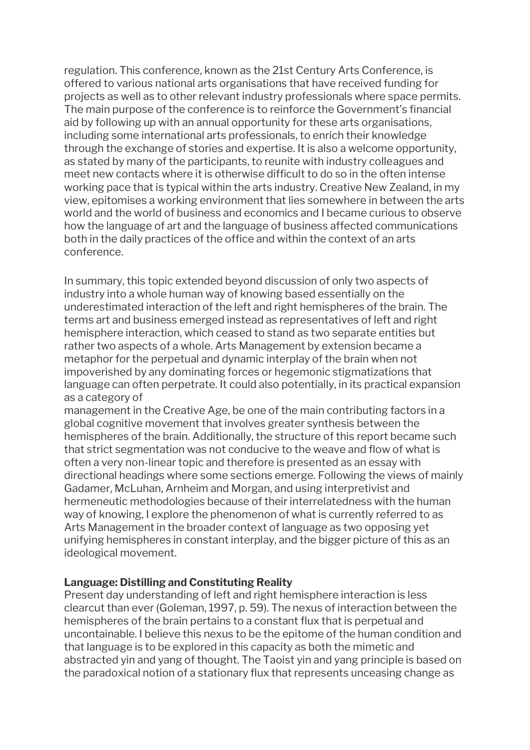regulation. This conference, known as the 21st Century Arts Conference, is offered to various national arts organisations that have received funding for projects as well as to other relevant industry professionals where space permits. The main purpose of the conference is to reinforce the Government's financial aid by following up with an annual opportunity for these arts organisations, including some international arts professionals, to enrich their knowledge through the exchange of stories and expertise. It is also a welcome opportunity, as stated by many of the participants, to reunite with industry colleagues and meet new contacts where it is otherwise difficult to do so in the often intense working pace that is typical within the arts industry. Creative New Zealand, in my view, epitomises a working environment that lies somewhere in between the arts world and the world of business and economics and I became curious to observe how the language of art and the language of business affected communications both in the daily practices of the office and within the context of an arts conference.

In summary, this topic extended beyond discussion of only two aspects of industry into a whole human way of knowing based essentially on the underestimated interaction of the left and right hemispheres of the brain. The terms art and business emerged instead as representatives of left and right hemisphere interaction, which ceased to stand as two separate entities but rather two aspects of a whole. Arts Management by extension became a metaphor for the perpetual and dynamic interplay of the brain when not impoverished by any dominating forces or hegemonic stigmatizations that language can often perpetrate. It could also potentially, in its practical expansion as a category of

management in the Creative Age, be one of the main contributing factors in a global cognitive movement that involves greater synthesis between the hemispheres of the brain. Additionally, the structure of this report became such that strict segmentation was not conducive to the weave and flow of what is often a very non-linear topic and therefore is presented as an essay with directional headings where some sections emerge. Following the views of mainly Gadamer, McLuhan, Arnheim and Morgan, and using interpretivist and hermeneutic methodologies because of their interrelatedness with the human way of knowing, I explore the phenomenon of what is currently referred to as Arts Management in the broader context of language as two opposing yet unifying hemispheres in constant interplay, and the bigger picture of this as an ideological movement.

#### **Language: Distilling and Constituting Reality**

Present day understanding of left and right hemisphere interaction is less clearcut than ever (Goleman, 1997, p. 59). The nexus of interaction between the hemispheres of the brain pertains to a constant flux that is perpetual and uncontainable. I believe this nexus to be the epitome of the human condition and that language is to be explored in this capacity as both the mimetic and abstracted yin and yang of thought. The Taoist yin and yang principle is based on the paradoxical notion of a stationary flux that represents unceasing change as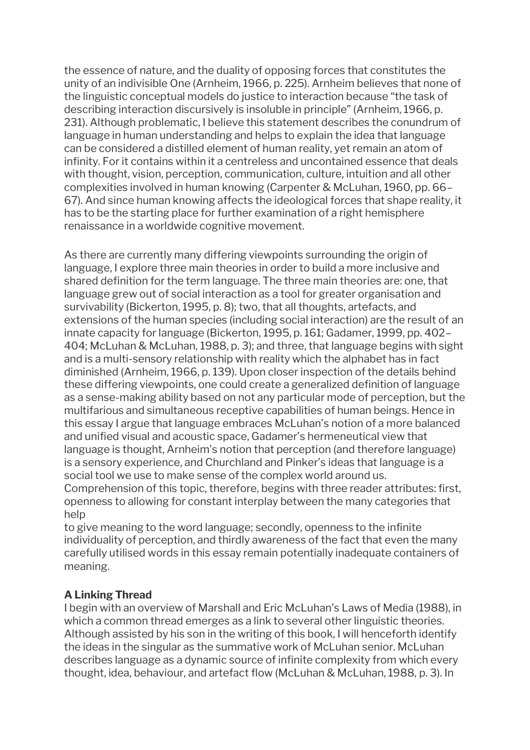the essence of nature, and the duality of opposing forces that constitutes the unity of an indivisible One (Arnheim, 1966, p. 225). Arnheim believes that none of the linguistic conceptual models do justice to interaction because "the task of describing interaction discursively is insoluble in principle" (Arnheim, 1966, p. 231). Although problematic, I believe this statement describes the conundrum of language in human understanding and helps to explain the idea that language can be considered a distilled element of human reality, yet remain an atom of infinity. For it contains within it a centreless and uncontained essence that deals with thought, vision, perception, communication, culture, intuition and all other complexities involved in human knowing (Carpenter & McLuhan, 1960, pp. 66– 67). And since human knowing affects the ideological forces that shape reality, it has to be the starting place for further examination of a right hemisphere renaissance in a worldwide cognitive movement.

As there are currently many differing viewpoints surrounding the origin of language, I explore three main theories in order to build a more inclusive and shared definition for the term language. The three main theories are: one, that language grew out of social interaction as a tool for greater organisation and survivability (Bickerton, 1995, p. 8); two, that all thoughts, artefacts, and extensions of the human species (including social interaction) are the result of an innate capacity for language (Bickerton, 1995, p. 161; Gadamer, 1999, pp. 402– 404; McLuhan & McLuhan, 1988, p. 3); and three, that language begins with sight and is a multi-sensory relationship with reality which the alphabet has in fact diminished (Arnheim, 1966, p. 139). Upon closer inspection of the details behind these differing viewpoints, one could create a generalized definition of language as a sense-making ability based on not any particular mode of perception, but the multifarious and simultaneous receptive capabilities of human beings. Hence in this essay I argue that language embraces McLuhan's notion of a more balanced and unified visual and acoustic space, Gadamer's hermeneutical view that language is thought, Arnheim's notion that perception (and therefore language) is a sensory experience, and Churchland and Pinker's ideas that language is a social tool we use to make sense of the complex world around us. Comprehension of this topic, therefore, begins with three reader attributes: first, openness to allowing for constant interplay between the many categories that help

to give meaning to the word language; secondly, openness to the infinite individuality of perception, and thirdly awareness of the fact that even the many carefully utilised words in this essay remain potentially inadequate containers of meaning.

# **A Linking Thread**

I begin with an overview of Marshall and Eric McLuhan's Laws of Media (1988), in which a common thread emerges as a link to several other linguistic theories. Although assisted by his son in the writing of this book, I will henceforth identify the ideas in the singular as the summative work of McLuhan senior. McLuhan describes language as a dynamic source of infinite complexity from which every thought, idea, behaviour, and artefact flow (McLuhan & McLuhan, 1988, p. 3). In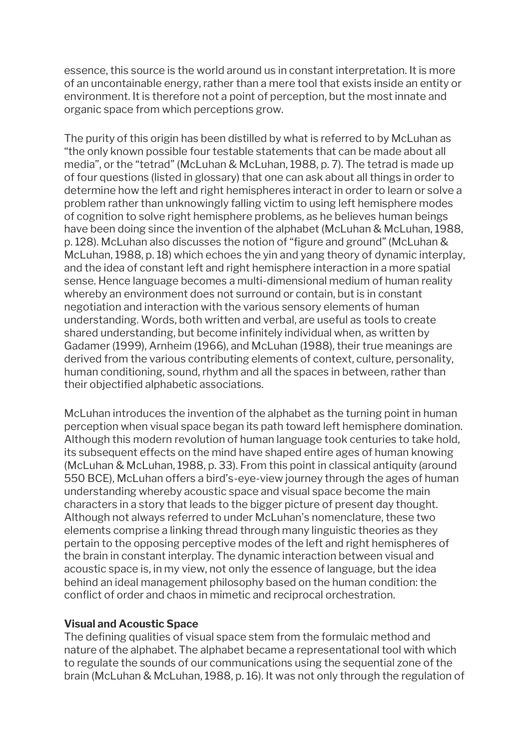essence, this source is the world around us in constant interpretation. It is more of an uncontainable energy, rather than a mere tool that exists inside an entity or environment. It is therefore not a point of perception, but the most innate and organic space from which perceptions grow.

The purity of this origin has been distilled by what is referred to by McLuhan as "the only known possible four testable statements that can be made about all media", or the "tetrad" (McLuhan & McLuhan, 1988, p. 7). The tetrad is made up of four questions (listed in glossary) that one can ask about all things in order to determine how the left and right hemispheres interact in order to learn or solve a problem rather than unknowingly falling victim to using left hemisphere modes of cognition to solve right hemisphere problems, as he believes human beings have been doing since the invention of the alphabet (McLuhan & McLuhan, 1988, p. 128). McLuhan also discusses the notion of "figure and ground" (McLuhan & McLuhan, 1988, p. 18) which echoes the yin and yang theory of dynamic interplay, and the idea of constant left and right hemisphere interaction in a more spatial sense. Hence language becomes a multi-dimensional medium of human reality whereby an environment does not surround or contain, but is in constant negotiation and interaction with the various sensory elements of human understanding. Words, both written and verbal, are useful as tools to create shared understanding, but become infinitely individual when, as written by Gadamer (1999), Arnheim (1966), and McLuhan (1988), their true meanings are derived from the various contributing elements of context, culture, personality, human conditioning, sound, rhythm and all the spaces in between, rather than their objectified alphabetic associations.

McLuhan introduces the invention of the alphabet as the turning point in human perception when visual space began its path toward left hemisphere domination. Although this modern revolution of human language took centuries to take hold, its subsequent effects on the mind have shaped entire ages of human knowing (McLuhan & McLuhan, 1988, p. 33). From this point in classical antiquity (around 550 BCE), McLuhan offers a bird's-eye-view journey through the ages of human understanding whereby acoustic space and visual space become the main characters in a story that leads to the bigger picture of present day thought. Although not always referred to under McLuhan's nomenclature, these two elements comprise a linking thread through many linguistic theories as they pertain to the opposing perceptive modes of the left and right hemispheres of the brain in constant interplay. The dynamic interaction between visual and acoustic space is, in my view, not only the essence of language, but the idea behind an ideal management philosophy based on the human condition: the conflict of order and chaos in mimetic and reciprocal orchestration.

## **Visual and Acoustic Space**

The defining qualities of visual space stem from the formulaic method and nature of the alphabet. The alphabet became a representational tool with which to regulate the sounds of our communications using the sequential zone of the brain (McLuhan & McLuhan, 1988, p. 16). It was not only through the regulation of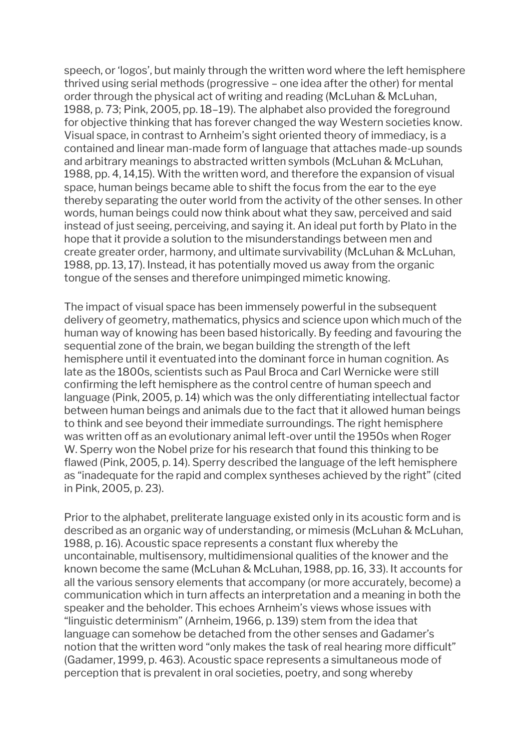speech, or 'logos', but mainly through the written word where the left hemisphere thrived using serial methods (progressive – one idea after the other) for mental order through the physical act of writing and reading (McLuhan & McLuhan, 1988, p. 73; Pink, 2005, pp. 18–19). The alphabet also provided the foreground for objective thinking that has forever changed the way Western societies know. Visual space, in contrast to Arnheim's sight oriented theory of immediacy, is a contained and linear man-made form of language that attaches made-up sounds and arbitrary meanings to abstracted written symbols (McLuhan & McLuhan, 1988, pp. 4, 14,15). With the written word, and therefore the expansion of visual space, human beings became able to shift the focus from the ear to the eye thereby separating the outer world from the activity of the other senses. In other words, human beings could now think about what they saw, perceived and said instead of just seeing, perceiving, and saying it. An ideal put forth by Plato in the hope that it provide a solution to the misunderstandings between men and create greater order, harmony, and ultimate survivability (McLuhan & McLuhan, 1988, pp. 13, 17). Instead, it has potentially moved us away from the organic tongue of the senses and therefore unimpinged mimetic knowing.

The impact of visual space has been immensely powerful in the subsequent delivery of geometry, mathematics, physics and science upon which much of the human way of knowing has been based historically. By feeding and favouring the sequential zone of the brain, we began building the strength of the left hemisphere until it eventuated into the dominant force in human cognition. As late as the 1800s, scientists such as Paul Broca and Carl Wernicke were still confirming the left hemisphere as the control centre of human speech and language (Pink, 2005, p. 14) which was the only differentiating intellectual factor between human beings and animals due to the fact that it allowed human beings to think and see beyond their immediate surroundings. The right hemisphere was written off as an evolutionary animal left-over until the 1950s when Roger W. Sperry won the Nobel prize for his research that found this thinking to be flawed (Pink, 2005, p. 14). Sperry described the language of the left hemisphere as "inadequate for the rapid and complex syntheses achieved by the right" (cited in Pink, 2005, p. 23).

Prior to the alphabet, preliterate language existed only in its acoustic form and is described as an organic way of understanding, or mimesis (McLuhan & McLuhan, 1988, p. 16). Acoustic space represents a constant flux whereby the uncontainable, multisensory, multidimensional qualities of the knower and the known become the same (McLuhan & McLuhan, 1988, pp. 16, 33). It accounts for all the various sensory elements that accompany (or more accurately, become) a communication which in turn affects an interpretation and a meaning in both the speaker and the beholder. This echoes Arnheim's views whose issues with "linguistic determinism" (Arnheim, 1966, p. 139) stem from the idea that language can somehow be detached from the other senses and Gadamer's notion that the written word "only makes the task of real hearing more difficult" (Gadamer, 1999, p. 463). Acoustic space represents a simultaneous mode of perception that is prevalent in oral societies, poetry, and song whereby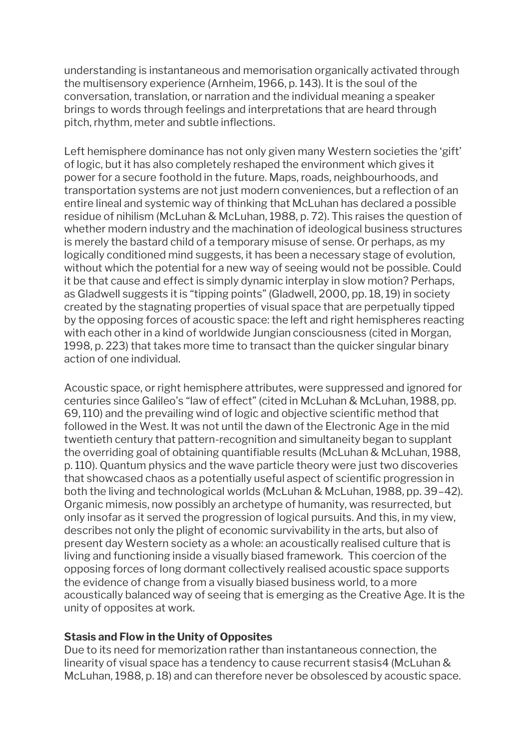understanding is instantaneous and memorisation organically activated through the multisensory experience (Arnheim, 1966, p. 143). It is the soul of the conversation, translation, or narration and the individual meaning a speaker brings to words through feelings and interpretations that are heard through pitch, rhythm, meter and subtle inflections.

Left hemisphere dominance has not only given many Western societies the 'gift' of logic, but it has also completely reshaped the environment which gives it power for a secure foothold in the future. Maps, roads, neighbourhoods, and transportation systems are not just modern conveniences, but a reflection of an entire lineal and systemic way of thinking that McLuhan has declared a possible residue of nihilism (McLuhan & McLuhan, 1988, p. 72). This raises the question of whether modern industry and the machination of ideological business structures is merely the bastard child of a temporary misuse of sense. Or perhaps, as my logically conditioned mind suggests, it has been a necessary stage of evolution, without which the potential for a new way of seeing would not be possible. Could it be that cause and effect is simply dynamic interplay in slow motion? Perhaps, as Gladwell suggests it is "tipping points" (Gladwell, 2000, pp. 18, 19) in society created by the stagnating properties of visual space that are perpetually tipped by the opposing forces of acoustic space: the left and right hemispheres reacting with each other in a kind of worldwide Jungian consciousness (cited in Morgan, 1998, p. 223) that takes more time to transact than the quicker singular binary action of one individual.

Acoustic space, or right hemisphere attributes, were suppressed and ignored for centuries since Galileo's "law of effect" (cited in McLuhan & McLuhan, 1988, pp. 69, 110) and the prevailing wind of logic and objective scientific method that followed in the West. It was not until the dawn of the Electronic Age in the mid twentieth century that pattern-recognition and simultaneity began to supplant the overriding goal of obtaining quantifiable results (McLuhan & McLuhan, 1988, p. 110). Quantum physics and the wave particle theory were just two discoveries that showcased chaos as a potentially useful aspect of scientific progression in both the living and technological worlds (McLuhan & McLuhan, 1988, pp. 39–42). Organic mimesis, now possibly an archetype of humanity, was resurrected, but only insofar as it served the progression of logical pursuits. And this, in my view, describes not only the plight of economic survivability in the arts, but also of present day Western society as a whole: an acoustically realised culture that is living and functioning inside a visually biased framework. This coercion of the opposing forces of long dormant collectively realised acoustic space supports the evidence of change from a visually biased business world, to a more acoustically balanced way of seeing that is emerging as the Creative Age. It is the unity of opposites at work.

#### **Stasis and Flow in the Unity of Opposites**

Due to its need for memorization rather than instantaneous connection, the linearity of visual space has a tendency to cause recurrent stasis4 (McLuhan & McLuhan, 1988, p. 18) and can therefore never be obsolesced by acoustic space.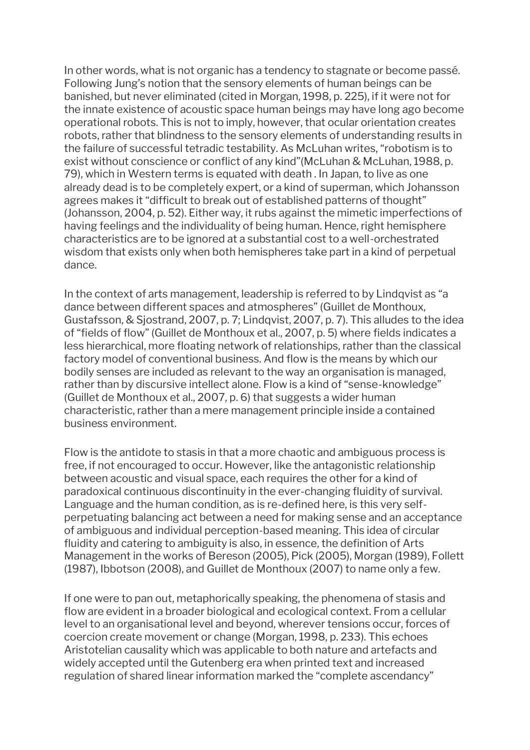In other words, what is not organic has a tendency to stagnate or become passé. Following Jung's notion that the sensory elements of human beings can be banished, but never eliminated (cited in Morgan, 1998, p. 225), if it were not for the innate existence of acoustic space human beings may have long ago become operational robots. This is not to imply, however, that ocular orientation creates robots, rather that blindness to the sensory elements of understanding results in the failure of successful tetradic testability. As McLuhan writes, "robotism is to exist without conscience or conflict of any kind"(McLuhan & McLuhan, 1988, p. 79), which in Western terms is equated with death . In Japan, to live as one already dead is to be completely expert, or a kind of superman, which Johansson agrees makes it "difficult to break out of established patterns of thought" (Johansson, 2004, p. 52). Either way, it rubs against the mimetic imperfections of having feelings and the individuality of being human. Hence, right hemisphere characteristics are to be ignored at a substantial cost to a well-orchestrated wisdom that exists only when both hemispheres take part in a kind of perpetual dance.

In the context of arts management, leadership is referred to by Lindqvist as "a dance between different spaces and atmospheres" (Guillet de Monthoux, Gustafsson, & Sjostrand, 2007, p. 7; Lindqvist, 2007, p. 7). This alludes to the idea of "fields of flow" (Guillet de Monthoux et al., 2007, p. 5) where fields indicates a less hierarchical, more floating network of relationships, rather than the classical factory model of conventional business. And flow is the means by which our bodily senses are included as relevant to the way an organisation is managed, rather than by discursive intellect alone. Flow is a kind of "sense-knowledge" (Guillet de Monthoux et al., 2007, p. 6) that suggests a wider human characteristic, rather than a mere management principle inside a contained business environment.

Flow is the antidote to stasis in that a more chaotic and ambiguous process is free, if not encouraged to occur. However, like the antagonistic relationship between acoustic and visual space, each requires the other for a kind of paradoxical continuous discontinuity in the ever-changing fluidity of survival. Language and the human condition, as is re-defined here, is this very selfperpetuating balancing act between a need for making sense and an acceptance of ambiguous and individual perception-based meaning. This idea of circular fluidity and catering to ambiguity is also, in essence, the definition of Arts Management in the works of Bereson (2005), Pick (2005), Morgan (1989), Follett (1987), Ibbotson (2008), and Guillet de Monthoux (2007) to name only a few.

If one were to pan out, metaphorically speaking, the phenomena of stasis and flow are evident in a broader biological and ecological context. From a cellular level to an organisational level and beyond, wherever tensions occur, forces of coercion create movement or change (Morgan, 1998, p. 233). This echoes Aristotelian causality which was applicable to both nature and artefacts and widely accepted until the Gutenberg era when printed text and increased regulation of shared linear information marked the "complete ascendancy"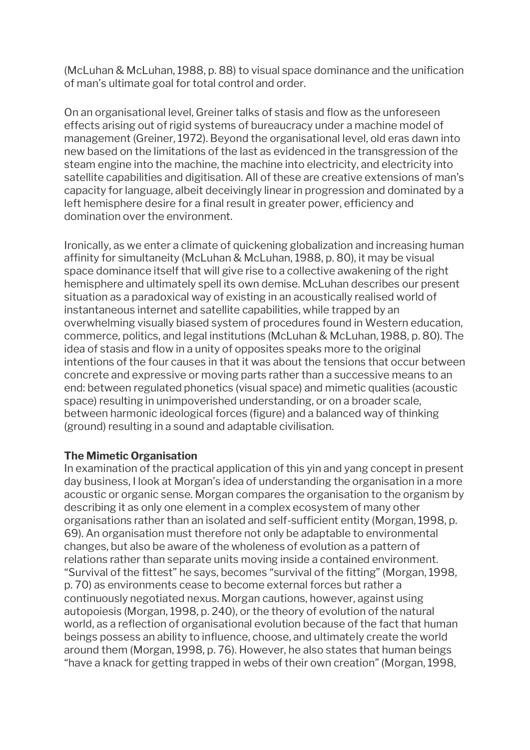(McLuhan & McLuhan, 1988, p. 88) to visual space dominance and the unification of man's ultimate goal for total control and order.

On an organisational level, Greiner talks of stasis and flow as the unforeseen effects arising out of rigid systems of bureaucracy under a machine model of management (Greiner, 1972). Beyond the organisational level, old eras dawn into new based on the limitations of the last as evidenced in the transgression of the steam engine into the machine, the machine into electricity, and electricity into satellite capabilities and digitisation. All of these are creative extensions of man's capacity for language, albeit deceivingly linear in progression and dominated by a left hemisphere desire for a final result in greater power, efficiency and domination over the environment.

Ironically, as we enter a climate of quickening globalization and increasing human affinity for simultaneity (McLuhan & McLuhan, 1988, p. 80), it may be visual space dominance itself that will give rise to a collective awakening of the right hemisphere and ultimately spell its own demise. McLuhan describes our present situation as a paradoxical way of existing in an acoustically realised world of instantaneous internet and satellite capabilities, while trapped by an overwhelming visually biased system of procedures found in Western education, commerce, politics, and legal institutions (McLuhan & McLuhan, 1988, p. 80). The idea of stasis and flow in a unity of opposites speaks more to the original intentions of the four causes in that it was about the tensions that occur between concrete and expressive or moving parts rather than a successive means to an end: between regulated phonetics (visual space) and mimetic qualities (acoustic space) resulting in unimpoverished understanding, or on a broader scale, between harmonic ideological forces (figure) and a balanced way of thinking (ground) resulting in a sound and adaptable civilisation.

## **The Mimetic Organisation**

In examination of the practical application of this yin and yang concept in present day business, I look at Morgan's idea of understanding the organisation in a more acoustic or organic sense. Morgan compares the organisation to the organism by describing it as only one element in a complex ecosystem of many other organisations rather than an isolated and self-sufficient entity (Morgan, 1998, p. 69). An organisation must therefore not only be adaptable to environmental changes, but also be aware of the wholeness of evolution as a pattern of relations rather than separate units moving inside a contained environment. "Survival of the fittest" he says, becomes "survival of the fitting" (Morgan, 1998, p. 70) as environments cease to become external forces but rather a continuously negotiated nexus. Morgan cautions, however, against using autopoiesis (Morgan, 1998, p. 240), or the theory of evolution of the natural world, as a reflection of organisational evolution because of the fact that human beings possess an ability to influence, choose, and ultimately create the world around them (Morgan, 1998, p. 76). However, he also states that human beings "have a knack for getting trapped in webs of their own creation" (Morgan, 1998,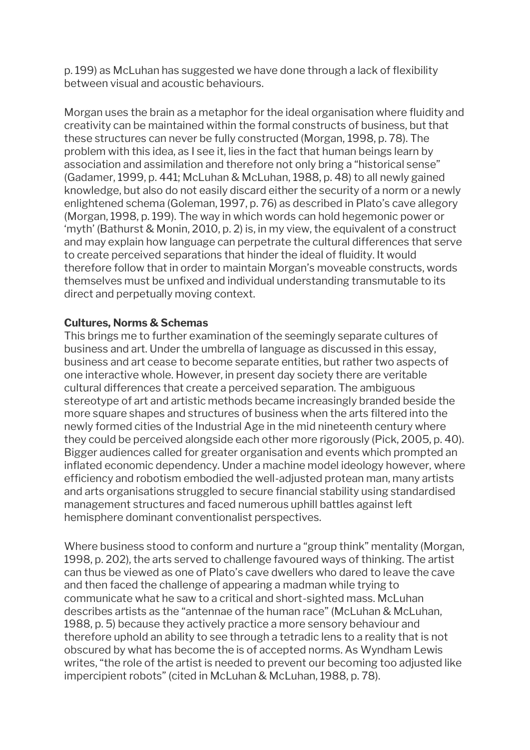p. 199) as McLuhan has suggested we have done through a lack of flexibility between visual and acoustic behaviours.

Morgan uses the brain as a metaphor for the ideal organisation where fluidity and creativity can be maintained within the formal constructs of business, but that these structures can never be fully constructed (Morgan, 1998, p. 78). The problem with this idea, as I see it, lies in the fact that human beings learn by association and assimilation and therefore not only bring a "historical sense" (Gadamer, 1999, p. 441; McLuhan & McLuhan, 1988, p. 48) to all newly gained knowledge, but also do not easily discard either the security of a norm or a newly enlightened schema (Goleman, 1997, p. 76) as described in Plato's cave allegory (Morgan, 1998, p. 199). The way in which words can hold hegemonic power or 'myth' (Bathurst & Monin, 2010, p. 2) is, in my view, the equivalent of a construct and may explain how language can perpetrate the cultural differences that serve to create perceived separations that hinder the ideal of fluidity. It would therefore follow that in order to maintain Morgan's moveable constructs, words themselves must be unfixed and individual understanding transmutable to its direct and perpetually moving context.

## **Cultures, Norms & Schemas**

This brings me to further examination of the seemingly separate cultures of business and art. Under the umbrella of language as discussed in this essay, business and art cease to become separate entities, but rather two aspects of one interactive whole. However, in present day society there are veritable cultural differences that create a perceived separation. The ambiguous stereotype of art and artistic methods became increasingly branded beside the more square shapes and structures of business when the arts filtered into the newly formed cities of the Industrial Age in the mid nineteenth century where they could be perceived alongside each other more rigorously (Pick, 2005, p. 40). Bigger audiences called for greater organisation and events which prompted an inflated economic dependency. Under a machine model ideology however, where efficiency and robotism embodied the well-adjusted protean man, many artists and arts organisations struggled to secure financial stability using standardised management structures and faced numerous uphill battles against left hemisphere dominant conventionalist perspectives.

Where business stood to conform and nurture a "group think" mentality (Morgan, 1998, p. 202), the arts served to challenge favoured ways of thinking. The artist can thus be viewed as one of Plato's cave dwellers who dared to leave the cave and then faced the challenge of appearing a madman while trying to communicate what he saw to a critical and short-sighted mass. McLuhan describes artists as the "antennae of the human race" (McLuhan & McLuhan, 1988, p. 5) because they actively practice a more sensory behaviour and therefore uphold an ability to see through a tetradic lens to a reality that is not obscured by what has become the is of accepted norms. As Wyndham Lewis writes, "the role of the artist is needed to prevent our becoming too adjusted like impercipient robots" (cited in McLuhan & McLuhan, 1988, p. 78).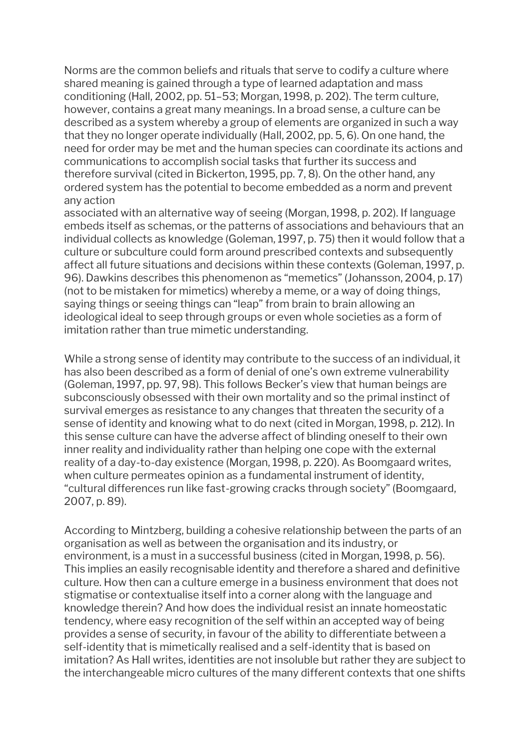Norms are the common beliefs and rituals that serve to codify a culture where shared meaning is gained through a type of learned adaptation and mass conditioning (Hall, 2002, pp. 51–53; Morgan, 1998, p. 202). The term culture, however, contains a great many meanings. In a broad sense, a culture can be described as a system whereby a group of elements are organized in such a way that they no longer operate individually (Hall, 2002, pp. 5, 6). On one hand, the need for order may be met and the human species can coordinate its actions and communications to accomplish social tasks that further its success and therefore survival (cited in Bickerton, 1995, pp. 7, 8). On the other hand, any ordered system has the potential to become embedded as a norm and prevent any action

associated with an alternative way of seeing (Morgan, 1998, p. 202). If language embeds itself as schemas, or the patterns of associations and behaviours that an individual collects as knowledge (Goleman, 1997, p. 75) then it would follow that a culture or subculture could form around prescribed contexts and subsequently affect all future situations and decisions within these contexts (Goleman, 1997, p. 96). Dawkins describes this phenomenon as "memetics" (Johansson, 2004, p. 17) (not to be mistaken for mimetics) whereby a meme, or a way of doing things, saying things or seeing things can "leap" from brain to brain allowing an ideological ideal to seep through groups or even whole societies as a form of imitation rather than true mimetic understanding.

While a strong sense of identity may contribute to the success of an individual, it has also been described as a form of denial of one's own extreme vulnerability (Goleman, 1997, pp. 97, 98). This follows Becker's view that human beings are subconsciously obsessed with their own mortality and so the primal instinct of survival emerges as resistance to any changes that threaten the security of a sense of identity and knowing what to do next (cited in Morgan, 1998, p. 212). In this sense culture can have the adverse affect of blinding oneself to their own inner reality and individuality rather than helping one cope with the external reality of a day-to-day existence (Morgan, 1998, p. 220). As Boomgaard writes, when culture permeates opinion as a fundamental instrument of identity, "cultural differences run like fast-growing cracks through society" (Boomgaard, 2007, p. 89).

According to Mintzberg, building a cohesive relationship between the parts of an organisation as well as between the organisation and its industry, or environment, is a must in a successful business (cited in Morgan, 1998, p. 56). This implies an easily recognisable identity and therefore a shared and definitive culture. How then can a culture emerge in a business environment that does not stigmatise or contextualise itself into a corner along with the language and knowledge therein? And how does the individual resist an innate homeostatic tendency, where easy recognition of the self within an accepted way of being provides a sense of security, in favour of the ability to differentiate between a self-identity that is mimetically realised and a self-identity that is based on imitation? As Hall writes, identities are not insoluble but rather they are subject to the interchangeable micro cultures of the many different contexts that one shifts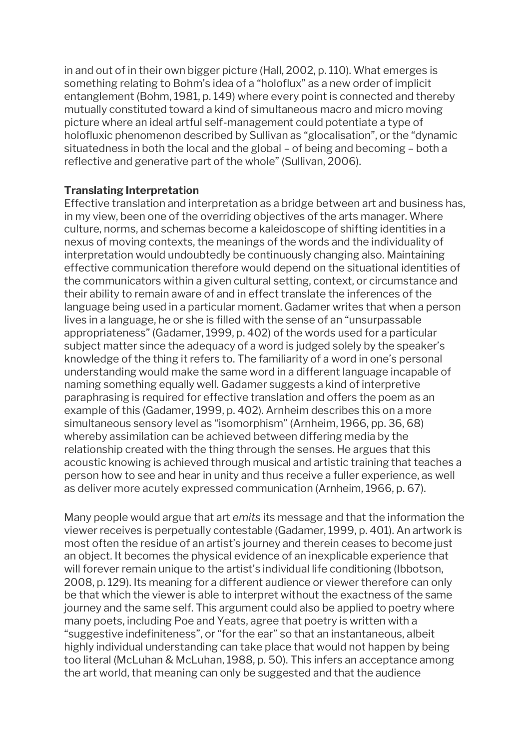in and out of in their own bigger picture (Hall, 2002, p. 110). What emerges is something relating to Bohm's idea of a "holoflux" as a new order of implicit entanglement (Bohm, 1981, p. 149) where every point is connected and thereby mutually constituted toward a kind of simultaneous macro and micro moving picture where an ideal artful self-management could potentiate a type of holofluxic phenomenon described by Sullivan as "glocalisation", or the "dynamic situatedness in both the local and the global – of being and becoming – both a reflective and generative part of the whole" (Sullivan, 2006).

## **Translating Interpretation**

Effective translation and interpretation as a bridge between art and business has, in my view, been one of the overriding objectives of the arts manager. Where culture, norms, and schemas become a kaleidoscope of shifting identities in a nexus of moving contexts, the meanings of the words and the individuality of interpretation would undoubtedly be continuously changing also. Maintaining effective communication therefore would depend on the situational identities of the communicators within a given cultural setting, context, or circumstance and their ability to remain aware of and in effect translate the inferences of the language being used in a particular moment. Gadamer writes that when a person lives in a language, he or she is filled with the sense of an "unsurpassable appropriateness" (Gadamer, 1999, p. 402) of the words used for a particular subject matter since the adequacy of a word is judged solely by the speaker's knowledge of the thing it refers to. The familiarity of a word in one's personal understanding would make the same word in a different language incapable of naming something equally well. Gadamer suggests a kind of interpretive paraphrasing is required for effective translation and offers the poem as an example of this (Gadamer, 1999, p. 402). Arnheim describes this on a more simultaneous sensory level as "isomorphism" (Arnheim, 1966, pp. 36, 68) whereby assimilation can be achieved between differing media by the relationship created with the thing through the senses. He argues that this acoustic knowing is achieved through musical and artistic training that teaches a person how to see and hear in unity and thus receive a fuller experience, as well as deliver more acutely expressed communication (Arnheim, 1966, p. 67).

Many people would argue that art *emits* its message and that the information the viewer receives is perpetually contestable (Gadamer, 1999, p. 401). An artwork is most often the residue of an artist's journey and therein ceases to become just an object. It becomes the physical evidence of an inexplicable experience that will forever remain unique to the artist's individual life conditioning (Ibbotson, 2008, p. 129). Its meaning for a different audience or viewer therefore can only be that which the viewer is able to interpret without the exactness of the same journey and the same self. This argument could also be applied to poetry where many poets, including Poe and Yeats, agree that poetry is written with a "suggestive indefiniteness", or "for the ear" so that an instantaneous, albeit highly individual understanding can take place that would not happen by being too literal (McLuhan & McLuhan, 1988, p. 50). This infers an acceptance among the art world, that meaning can only be suggested and that the audience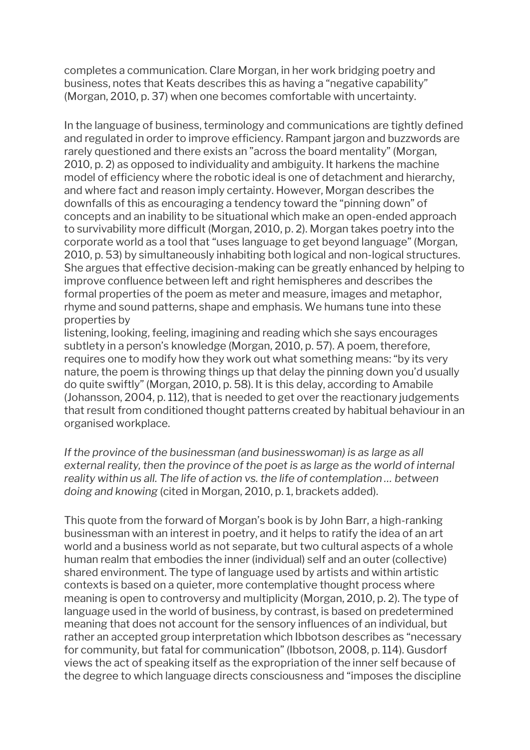completes a communication. Clare Morgan, in her work bridging poetry and business, notes that Keats describes this as having a "negative capability" (Morgan, 2010, p. 37) when one becomes comfortable with uncertainty.

In the language of business, terminology and communications are tightly defined and regulated in order to improve efficiency. Rampant jargon and buzzwords are rarely questioned and there exists an "across the board mentality" (Morgan, 2010, p. 2) as opposed to individuality and ambiguity. It harkens the machine model of efficiency where the robotic ideal is one of detachment and hierarchy, and where fact and reason imply certainty. However, Morgan describes the downfalls of this as encouraging a tendency toward the "pinning down" of concepts and an inability to be situational which make an open-ended approach to survivability more difficult (Morgan, 2010, p. 2). Morgan takes poetry into the corporate world as a tool that "uses language to get beyond language" (Morgan, 2010, p. 53) by simultaneously inhabiting both logical and non-logical structures. She argues that effective decision-making can be greatly enhanced by helping to improve confluence between left and right hemispheres and describes the formal properties of the poem as meter and measure, images and metaphor, rhyme and sound patterns, shape and emphasis. We humans tune into these properties by

listening, looking, feeling, imagining and reading which she says encourages subtlety in a person's knowledge (Morgan, 2010, p. 57). A poem, therefore, requires one to modify how they work out what something means: "by its very nature, the poem is throwing things up that delay the pinning down you'd usually do quite swiftly" (Morgan, 2010, p. 58). It is this delay, according to Amabile (Johansson, 2004, p. 112), that is needed to get over the reactionary judgements that result from conditioned thought patterns created by habitual behaviour in an organised workplace.

*If the province of the businessman (and businesswoman) is as large as all external reality, then the province of the poet is as large as the world of internal reality within us all. The life of action vs. the life of contemplation … between doing and knowing* (cited in Morgan, 2010, p. 1, brackets added).

This quote from the forward of Morgan's book is by John Barr, a high-ranking businessman with an interest in poetry, and it helps to ratify the idea of an art world and a business world as not separate, but two cultural aspects of a whole human realm that embodies the inner (individual) self and an outer (collective) shared environment. The type of language used by artists and within artistic contexts is based on a quieter, more contemplative thought process where meaning is open to controversy and multiplicity (Morgan, 2010, p. 2). The type of language used in the world of business, by contrast, is based on predetermined meaning that does not account for the sensory influences of an individual, but rather an accepted group interpretation which Ibbotson describes as "necessary for community, but fatal for communication" (Ibbotson, 2008, p. 114). Gusdorf views the act of speaking itself as the expropriation of the inner self because of the degree to which language directs consciousness and "imposes the discipline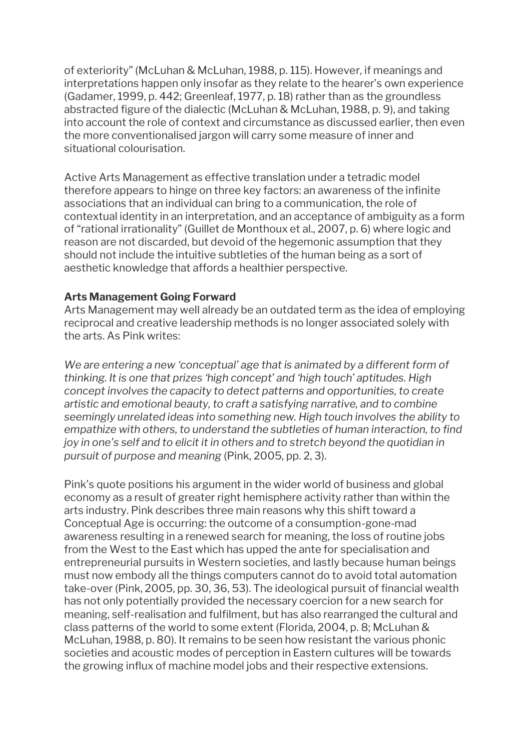of exteriority" (McLuhan & McLuhan, 1988, p. 115). However, if meanings and interpretations happen only insofar as they relate to the hearer's own experience (Gadamer, 1999, p. 442; Greenleaf, 1977, p. 18) rather than as the groundless abstracted figure of the dialectic (McLuhan & McLuhan, 1988, p. 9), and taking into account the role of context and circumstance as discussed earlier, then even the more conventionalised jargon will carry some measure of inner and situational colourisation.

Active Arts Management as effective translation under a tetradic model therefore appears to hinge on three key factors: an awareness of the infinite associations that an individual can bring to a communication, the role of contextual identity in an interpretation, and an acceptance of ambiguity as a form of "rational irrationality" (Guillet de Monthoux et al., 2007, p. 6) where logic and reason are not discarded, but devoid of the hegemonic assumption that they should not include the intuitive subtleties of the human being as a sort of aesthetic knowledge that affords a healthier perspective.

## **Arts Management Going Forward**

Arts Management may well already be an outdated term as the idea of employing reciprocal and creative leadership methods is no longer associated solely with the arts. As Pink writes:

*We are entering a new 'conceptual' age that is animated by a different form of thinking. It is one that prizes 'high concept' and 'high touch' aptitudes. High concept involves the capacity to detect patterns and opportunities, to create artistic and emotional beauty, to craft a satisfying narrative, and to combine seemingly unrelated ideas into something new. High touch involves the ability to empathize with others, to understand the subtleties of human interaction, to find joy in one's self and to elicit it in others and to stretch beyond the quotidian in pursuit of purpose and meaning* (Pink, 2005, pp. 2, 3).

Pink's quote positions his argument in the wider world of business and global economy as a result of greater right hemisphere activity rather than within the arts industry. Pink describes three main reasons why this shift toward a Conceptual Age is occurring: the outcome of a consumption-gone-mad awareness resulting in a renewed search for meaning, the loss of routine jobs from the West to the East which has upped the ante for specialisation and entrepreneurial pursuits in Western societies, and lastly because human beings must now embody all the things computers cannot do to avoid total automation take-over (Pink, 2005, pp. 30, 36, 53). The ideological pursuit of financial wealth has not only potentially provided the necessary coercion for a new search for meaning, self-realisation and fulfilment, but has also rearranged the cultural and class patterns of the world to some extent (Florida, 2004, p. 8; McLuhan & McLuhan, 1988, p. 80). It remains to be seen how resistant the various phonic societies and acoustic modes of perception in Eastern cultures will be towards the growing influx of machine model jobs and their respective extensions.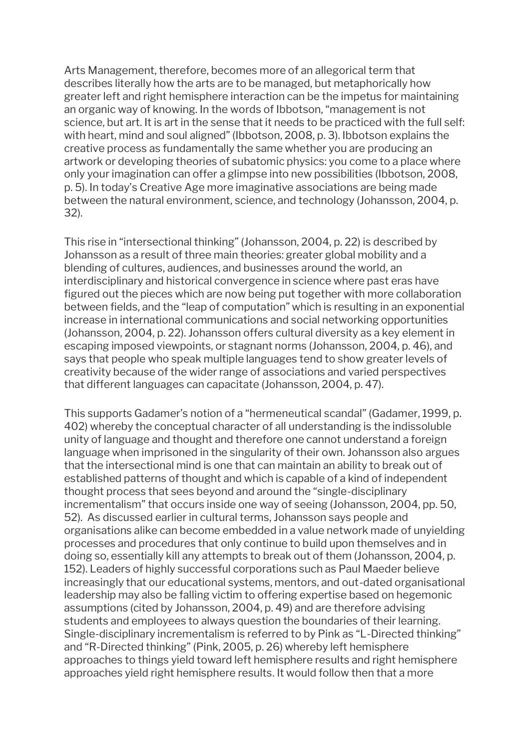Arts Management, therefore, becomes more of an allegorical term that describes literally how the arts are to be managed, but metaphorically how greater left and right hemisphere interaction can be the impetus for maintaining an organic way of knowing. In the words of Ibbotson, "management is not science, but art. It is art in the sense that it needs to be practiced with the full self: with heart, mind and soul aligned" (Ibbotson, 2008, p. 3). Ibbotson explains the creative process as fundamentally the same whether you are producing an artwork or developing theories of subatomic physics: you come to a place where only your imagination can offer a glimpse into new possibilities (Ibbotson, 2008, p. 5). In today's Creative Age more imaginative associations are being made between the natural environment, science, and technology (Johansson, 2004, p. 32).

This rise in "intersectional thinking" (Johansson, 2004, p. 22) is described by Johansson as a result of three main theories: greater global mobility and a blending of cultures, audiences, and businesses around the world, an interdisciplinary and historical convergence in science where past eras have figured out the pieces which are now being put together with more collaboration between fields, and the "leap of computation" which is resulting in an exponential increase in international communications and social networking opportunities (Johansson, 2004, p. 22). Johansson offers cultural diversity as a key element in escaping imposed viewpoints, or stagnant norms (Johansson, 2004, p. 46), and says that people who speak multiple languages tend to show greater levels of creativity because of the wider range of associations and varied perspectives that different languages can capacitate (Johansson, 2004, p. 47).

This supports Gadamer's notion of a "hermeneutical scandal" (Gadamer, 1999, p. 402) whereby the conceptual character of all understanding is the indissoluble unity of language and thought and therefore one cannot understand a foreign language when imprisoned in the singularity of their own. Johansson also argues that the intersectional mind is one that can maintain an ability to break out of established patterns of thought and which is capable of a kind of independent thought process that sees beyond and around the "single-disciplinary incrementalism" that occurs inside one way of seeing (Johansson, 2004, pp. 50, 52). As discussed earlier in cultural terms, Johansson says people and organisations alike can become embedded in a value network made of unyielding processes and procedures that only continue to build upon themselves and in doing so, essentially kill any attempts to break out of them (Johansson, 2004, p. 152). Leaders of highly successful corporations such as Paul Maeder believe increasingly that our educational systems, mentors, and out-dated organisational leadership may also be falling victim to offering expertise based on hegemonic assumptions (cited by Johansson, 2004, p. 49) and are therefore advising students and employees to always question the boundaries of their learning. Single-disciplinary incrementalism is referred to by Pink as "L-Directed thinking" and "R-Directed thinking" (Pink, 2005, p. 26) whereby left hemisphere approaches to things yield toward left hemisphere results and right hemisphere approaches yield right hemisphere results. It would follow then that a more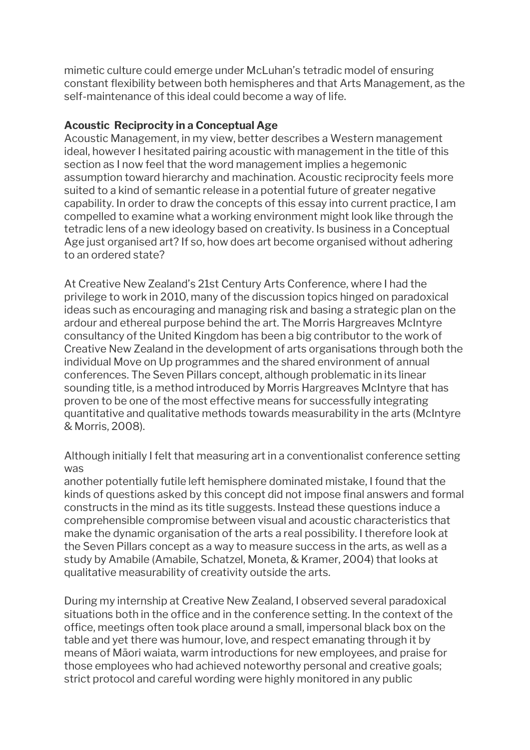mimetic culture could emerge under McLuhan's tetradic model of ensuring constant flexibility between both hemispheres and that Arts Management, as the self-maintenance of this ideal could become a way of life.

## **Acoustic Reciprocity in a Conceptual Age**

Acoustic Management, in my view, better describes a Western management ideal, however I hesitated pairing acoustic with management in the title of this section as I now feel that the word management implies a hegemonic assumption toward hierarchy and machination. Acoustic reciprocity feels more suited to a kind of semantic release in a potential future of greater negative capability. In order to draw the concepts of this essay into current practice, I am compelled to examine what a working environment might look like through the tetradic lens of a new ideology based on creativity. Is business in a Conceptual Age just organised art? If so, how does art become organised without adhering to an ordered state?

At Creative New Zealand's 21st Century Arts Conference, where I had the privilege to work in 2010, many of the discussion topics hinged on paradoxical ideas such as encouraging and managing risk and basing a strategic plan on the ardour and ethereal purpose behind the art. The Morris Hargreaves McIntyre consultancy of the United Kingdom has been a big contributor to the work of Creative New Zealand in the development of arts organisations through both the individual Move on Up programmes and the shared environment of annual conferences. The Seven Pillars concept, although problematic in its linear sounding title, is a method introduced by Morris Hargreaves McIntyre that has proven to be one of the most effective means for successfully integrating quantitative and qualitative methods towards measurability in the arts (McIntyre & Morris, 2008).

Although initially I felt that measuring art in a conventionalist conference setting was

another potentially futile left hemisphere dominated mistake, I found that the kinds of questions asked by this concept did not impose final answers and formal constructs in the mind as its title suggests. Instead these questions induce a comprehensible compromise between visual and acoustic characteristics that make the dynamic organisation of the arts a real possibility. I therefore look at the Seven Pillars concept as a way to measure success in the arts, as well as a study by Amabile (Amabile, Schatzel, Moneta, & Kramer, 2004) that looks at qualitative measurability of creativity outside the arts.

During my internship at Creative New Zealand, I observed several paradoxical situations both in the office and in the conference setting. In the context of the office, meetings often took place around a small, impersonal black box on the table and yet there was humour, love, and respect emanating through it by means of Māori waiata, warm introductions for new employees, and praise for those employees who had achieved noteworthy personal and creative goals; strict protocol and careful wording were highly monitored in any public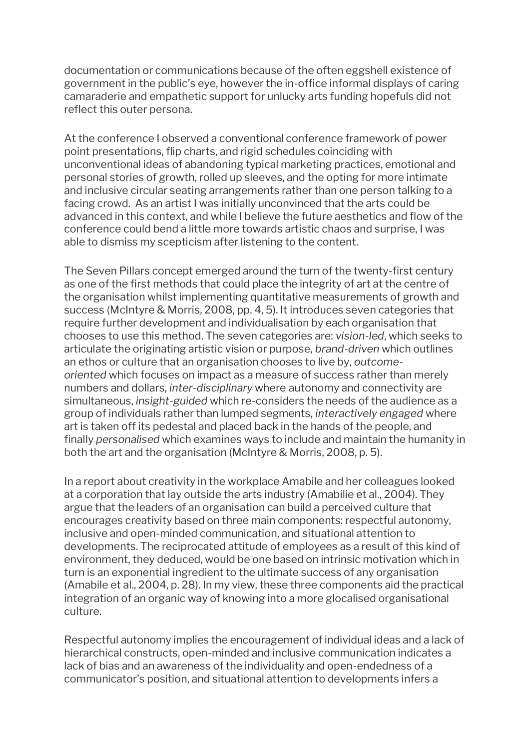documentation or communications because of the often eggshell existence of government in the public's eye, however the in-office informal displays of caring camaraderie and empathetic support for unlucky arts funding hopefuls did not reflect this outer persona.

At the conference I observed a conventional conference framework of power point presentations, flip charts, and rigid schedules coinciding with unconventional ideas of abandoning typical marketing practices, emotional and personal stories of growth, rolled up sleeves, and the opting for more intimate and inclusive circular seating arrangements rather than one person talking to a facing crowd. As an artist I was initially unconvinced that the arts could be advanced in this context, and while I believe the future aesthetics and flow of the conference could bend a little more towards artistic chaos and surprise, I was able to dismiss my scepticism after listening to the content.

The Seven Pillars concept emerged around the turn of the twenty-first century as one of the first methods that could place the integrity of art at the centre of the organisation whilst implementing quantitative measurements of growth and success (McIntyre & Morris, 2008, pp. 4, 5). It introduces seven categories that require further development and individualisation by each organisation that chooses to use this method. The seven categories are: *vision-led*, which seeks to articulate the originating artistic vision or purpose, *brand-driven* which outlines an ethos or culture that an organisation chooses to live by, *outcomeoriented* which focuses on impact as a measure of success rather than merely numbers and dollars, *inter-disciplinary* where autonomy and connectivity are simultaneous, *insight-guided* which re-considers the needs of the audience as a group of individuals rather than lumped segments, *interactively engaged* where art is taken off its pedestal and placed back in the hands of the people, and finally *personalised* which examines ways to include and maintain the humanity in both the art and the organisation (McIntyre & Morris, 2008, p. 5).

In a report about creativity in the workplace Amabile and her colleagues looked at a corporation that lay outside the arts industry (Amabilie et al., 2004). They argue that the leaders of an organisation can build a perceived culture that encourages creativity based on three main components: respectful autonomy, inclusive and open-minded communication, and situational attention to developments. The reciprocated attitude of employees as a result of this kind of environment, they deduced, would be one based on intrinsic motivation which in turn is an exponential ingredient to the ultimate success of any organisation (Amabile et al., 2004, p. 28). In my view, these three components aid the practical integration of an organic way of knowing into a more glocalised organisational culture.

Respectful autonomy implies the encouragement of individual ideas and a lack of hierarchical constructs, open-minded and inclusive communication indicates a lack of bias and an awareness of the individuality and open-endedness of a communicator's position, and situational attention to developments infers a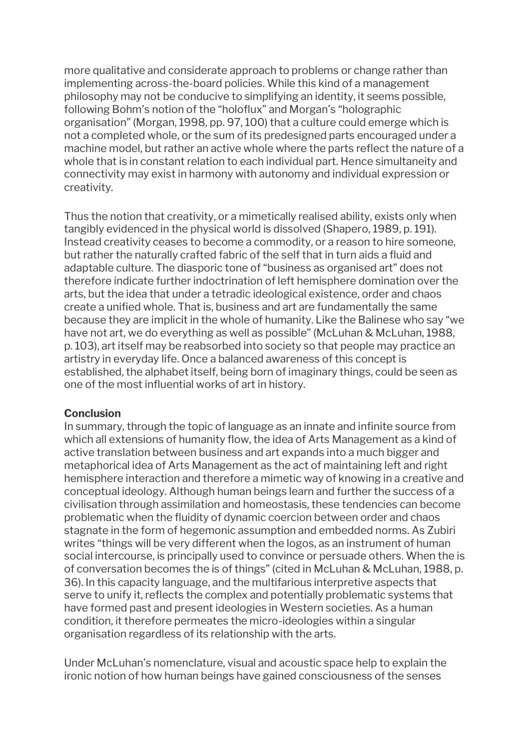more qualitative and considerate approach to problems or change rather than implementing across-the-board policies. While this kind of a management philosophy may not be conducive to simplifying an identity, it seems possible, following Bohm's notion of the "holoflux" and Morgan's "holographic organisation" (Morgan, 1998, pp. 97, 100) that a culture could emerge which is not a completed whole, or the sum of its predesigned parts encouraged under a machine model, but rather an active whole where the parts reflect the nature of a whole that is in constant relation to each individual part. Hence simultaneity and connectivity may exist in harmony with autonomy and individual expression or creativity.

Thus the notion that creativity, or a mimetically realised ability, exists only when tangibly evidenced in the physical world is dissolved (Shapero, 1989, p. 191). Instead creativity ceases to become a commodity, or a reason to hire someone, but rather the naturally crafted fabric of the self that in turn aids a fluid and adaptable culture. The diasporic tone of "business as organised art" does not therefore indicate further indoctrination of left hemisphere domination over the arts, but the idea that under a tetradic ideological existence, order and chaos create a unified whole. That is, business and art are fundamentally the same because they are implicit in the whole of humanity. Like the Balinese who say "we have not art, we do everything as well as possible" (McLuhan & McLuhan, 1988, p. 103), art itself may be reabsorbed into society so that people may practice an artistry in everyday life. Once a balanced awareness of this concept is established, the alphabet itself, being born of imaginary things, could be seen as one of the most influential works of art in history.

## **Conclusion**

In summary, through the topic of language as an innate and infinite source from which all extensions of humanity flow, the idea of Arts Management as a kind of active translation between business and art expands into a much bigger and metaphorical idea of Arts Management as the act of maintaining left and right hemisphere interaction and therefore a mimetic way of knowing in a creative and conceptual ideology. Although human beings learn and further the success of a civilisation through assimilation and homeostasis, these tendencies can become problematic when the fluidity of dynamic coercion between order and chaos stagnate in the form of hegemonic assumption and embedded norms. As Zubiri writes "things will be very different when the logos, as an instrument of human social intercourse, is principally used to convince or persuade others. When the is of conversation becomes the is of things" (cited in McLuhan & McLuhan, 1988, p. 36). In this capacity language, and the multifarious interpretive aspects that serve to unify it, reflects the complex and potentially problematic systems that have formed past and present ideologies in Western societies. As a human condition, it therefore permeates the micro-ideologies within a singular organisation regardless of its relationship with the arts.

Under McLuhan's nomenclature, visual and acoustic space help to explain the ironic notion of how human beings have gained consciousness of the senses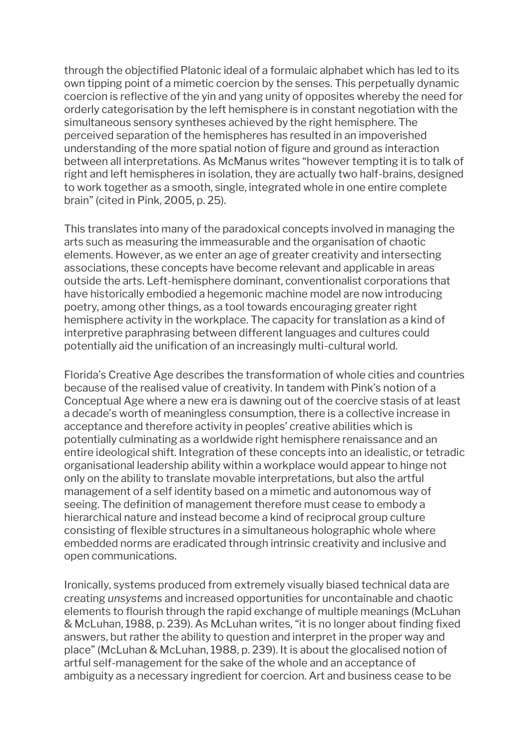through the objectified Platonic ideal of a formulaic alphabet which has led to its own tipping point of a mimetic coercion by the senses. This perpetually dynamic coercion is reflective of the yin and yang unity of opposites whereby the need for orderly categorisation by the left hemisphere is in constant negotiation with the simultaneous sensory syntheses achieved by the right hemisphere. The perceived separation of the hemispheres has resulted in an impoverished understanding of the more spatial notion of figure and ground as interaction between all interpretations. As McManus writes "however tempting it is to talk of right and left hemispheres in isolation, they are actually two half-brains, designed to work together as a smooth, single, integrated whole in one entire complete brain" (cited in Pink, 2005, p. 25).

This translates into many of the paradoxical concepts involved in managing the arts such as measuring the immeasurable and the organisation of chaotic elements. However, as we enter an age of greater creativity and intersecting associations, these concepts have become relevant and applicable in areas outside the arts. Left-hemisphere dominant, conventionalist corporations that have historically embodied a hegemonic machine model are now introducing poetry, among other things, as a tool towards encouraging greater right hemisphere activity in the workplace. The capacity for translation as a kind of interpretive paraphrasing between different languages and cultures could potentially aid the unification of an increasingly multi-cultural world.

Florida's Creative Age describes the transformation of whole cities and countries because of the realised value of creativity. In tandem with Pink's notion of a Conceptual Age where a new era is dawning out of the coercive stasis of at least a decade's worth of meaningless consumption, there is a collective increase in acceptance and therefore activity in peoples' creative abilities which is potentially culminating as a worldwide right hemisphere renaissance and an entire ideological shift. Integration of these concepts into an idealistic, or tetradic organisational leadership ability within a workplace would appear to hinge not only on the ability to translate movable interpretations, but also the artful management of a self identity based on a mimetic and autonomous way of seeing. The definition of management therefore must cease to embody a hierarchical nature and instead become a kind of reciprocal group culture consisting of flexible structures in a simultaneous holographic whole where embedded norms are eradicated through intrinsic creativity and inclusive and open communications.

Ironically, systems produced from extremely visually biased technical data are creating *unsystems* and increased opportunities for uncontainable and chaotic elements to flourish through the rapid exchange of multiple meanings (McLuhan & McLuhan, 1988, p. 239). As McLuhan writes, "it is no longer about finding fixed answers, but rather the ability to question and interpret in the proper way and place" (McLuhan & McLuhan, 1988, p. 239). It is about the glocalised notion of artful self-management for the sake of the whole and an acceptance of ambiguity as a necessary ingredient for coercion. Art and business cease to be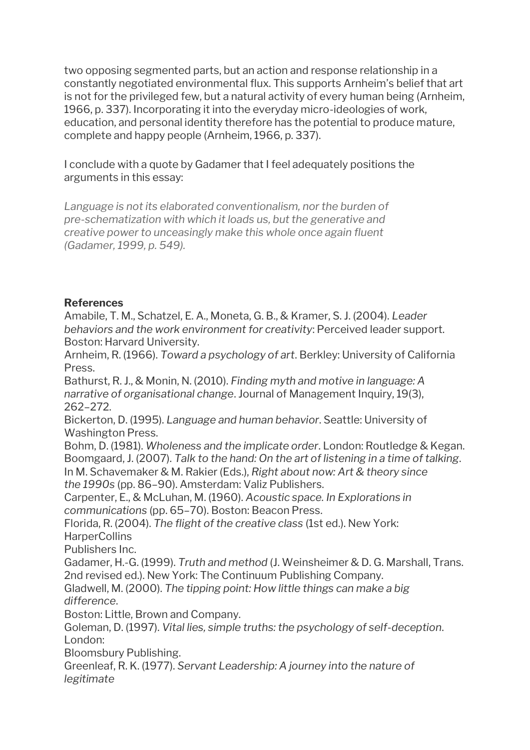two opposing segmented parts, but an action and response relationship in a constantly negotiated environmental flux. This supports Arnheim's belief that art is not for the privileged few, but a natural activity of every human being (Arnheim, 1966, p. 337). Incorporating it into the everyday micro-ideologies of work, education, and personal identity therefore has the potential to produce mature, complete and happy people (Arnheim, 1966, p. 337).

I conclude with a quote by Gadamer that I feel adequately positions the arguments in this essay:

*Language is not its elaborated conventionalism, nor the burden of pre-schematization with which it loads us, but the generative and creative power to unceasingly make this whole once again fluent (Gadamer, 1999, p. 549).*

## **References**

Amabile, T. M., Schatzel, E. A., Moneta, G. B., & Kramer, S. J. (2004). *Leader behaviors and the work environment for creativity*: Perceived leader support. Boston: Harvard University.

Arnheim, R. (1966). *Toward a psychology of art*. Berkley: University of California Press.

Bathurst, R. J., & Monin, N. (2010). *Finding myth and motive in language: A narrative of organisational change*. Journal of Management Inquiry, 19(3), 262–272.

Bickerton, D. (1995). *Language and human behavior*. Seattle: University of Washington Press.

Bohm, D. (1981). *Wholeness and the implicate order*. London: Routledge & Kegan. Boomgaard, J. (2007). *Talk to the hand: On the art of listening in a time of talking*. In M. Schavemaker & M. Rakier (Eds.), *Right about now: Art & theory since the 1990s* (pp. 86–90). Amsterdam: Valiz Publishers.

Carpenter, E., & McLuhan, M. (1960). *Acoustic space. In Explorations in communications* (pp. 65–70). Boston: Beacon Press.

Florida, R. (2004). *The flight of the creative class* (1st ed.). New York: **HarperCollins** 

Publishers Inc.

Gadamer, H.-G. (1999). *Truth and method* (J. Weinsheimer & D. G. Marshall, Trans. 2nd revised ed.). New York: The Continuum Publishing Company.

Gladwell, M. (2000). *The tipping point: How little things can make a big difference*.

Boston: Little, Brown and Company.

Goleman, D. (1997). *Vital lies, simple truths: the psychology of self-deception*. London:

Bloomsbury Publishing.

Greenleaf, R. K. (1977). *Servant Leadership: A journey into the nature of legitimate*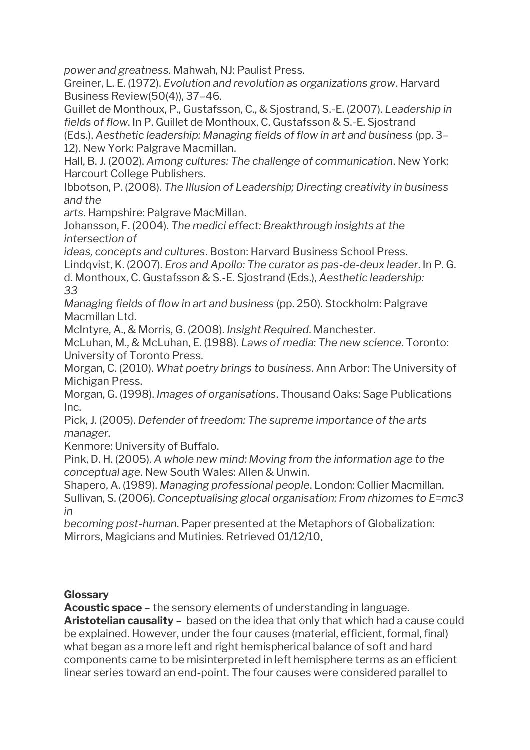*power and greatness.* Mahwah, NJ: Paulist Press.

Greiner, L. E. (1972). *Evolution and revolution as organizations grow*. Harvard Business Review(50(4)), 37–46.

Guillet de Monthoux, P., Gustafsson, C., & Sjostrand, S.-E. (2007). *Leadership in fields of flow*. In P. Guillet de Monthoux, C. Gustafsson & S.-E. Sjostrand

(Eds.), *Aesthetic leadership: Managing fields of flow in art and business* (pp. 3– 12). New York: Palgrave Macmillan.

Hall, B. J. (2002). *Among cultures: The challenge of communication*. New York: Harcourt College Publishers.

Ibbotson, P. (2008). *The Illusion of Leadership; Directing creativity in business and the*

*arts*. Hampshire: Palgrave MacMillan.

Johansson, F. (2004). *The medici effect: Breakthrough insights at the intersection of*

*ideas, concepts and cultures*. Boston: Harvard Business School Press.

Lindqvist, K. (2007). *Eros and Apollo: The curator as pas-de-deux leader*. In P. G.

d. Monthoux, C. Gustafsson & S.-E. Sjostrand (Eds.), *Aesthetic leadership: 33*

*Managing fields of flow in art and business* (pp. 250). Stockholm: Palgrave Macmillan Ltd.

McIntyre, A., & Morris, G. (2008). *Insight Required*. Manchester.

McLuhan, M., & McLuhan, E. (1988). *Laws of media: The new science*. Toronto: University of Toronto Press.

Morgan, C. (2010). *What poetry brings to business*. Ann Arbor: The University of Michigan Press.

Morgan, G. (1998). *Images of organisations*. Thousand Oaks: Sage Publications Inc.

Pick, J. (2005). *Defender of freedom: The supreme importance of the arts manager*.

Kenmore: University of Buffalo.

Pink, D. H. (2005). *A whole new mind: Moving from the information age to the conceptual age*. New South Wales: Allen & Unwin.

Shapero, A. (1989). *Managing professional people*. London: Collier Macmillan. Sullivan, S. (2006). *Conceptualising glocal organisation: From rhizomes to E=mc3 in*

*becoming post-human*. Paper presented at the Metaphors of Globalization: Mirrors, Magicians and Mutinies. Retrieved 01/12/10,

# **Glossary**

**Acoustic space** – the sensory elements of understanding in language.

**Aristotelian causality** – based on the idea that only that which had a cause could be explained. However, under the four causes (material, efficient, formal, final) what began as a more left and right hemispherical balance of soft and hard components came to be misinterpreted in left hemisphere terms as an efficient linear series toward an end-point. The four causes were considered parallel to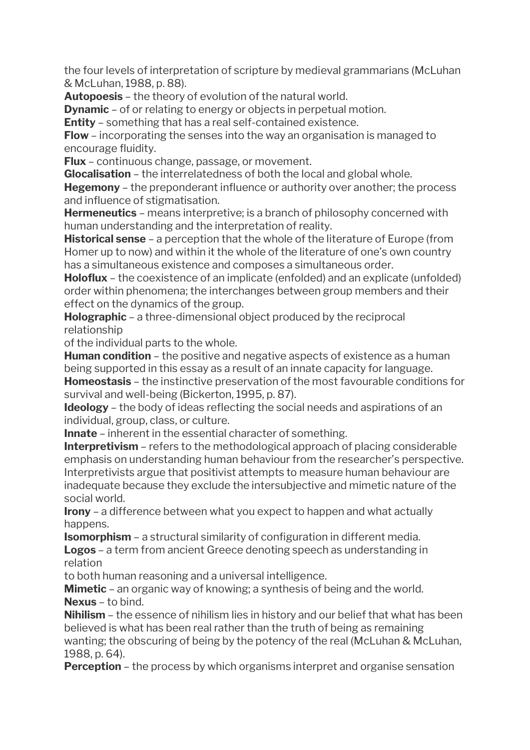the four levels of interpretation of scripture by medieval grammarians (McLuhan & McLuhan, 1988, p. 88).

**Autopoesis** – the theory of evolution of the natural world.

**Dynamic** – of or relating to energy or objects in perpetual motion.

**Entity** – something that has a real self-contained existence.

**Flow** – incorporating the senses into the way an organisation is managed to encourage fluidity.

**Flux** – continuous change, passage, or movement.

**Glocalisation** – the interrelatedness of both the local and global whole.

**Hegemony** – the preponderant influence or authority over another; the process and influence of stigmatisation.

**Hermeneutics** – means interpretive; is a branch of philosophy concerned with human understanding and the interpretation of reality.

**Historical sense** – a perception that the whole of the literature of Europe (from Homer up to now) and within it the whole of the literature of one's own country has a simultaneous existence and composes a simultaneous order.

**Holoflux** – the coexistence of an implicate (enfolded) and an explicate (unfolded) order within phenomena; the interchanges between group members and their effect on the dynamics of the group.

**Holographic** – a three-dimensional object produced by the reciprocal relationship

of the individual parts to the whole.

**Human condition** – the positive and negative aspects of existence as a human being supported in this essay as a result of an innate capacity for language.

**Homeostasis** – the instinctive preservation of the most favourable conditions for survival and well-being (Bickerton, 1995, p. 87).

**Ideology** – the body of ideas reflecting the social needs and aspirations of an individual, group, class, or culture.

**Innate** – inherent in the essential character of something.

**Interpretivism** – refers to the methodological approach of placing considerable emphasis on understanding human behaviour from the researcher's perspective. Interpretivists argue that positivist attempts to measure human behaviour are inadequate because they exclude the intersubjective and mimetic nature of the social world.

**Irony** – a difference between what you expect to happen and what actually happens.

**Isomorphism** – a structural similarity of configuration in different media. **Logos** – a term from ancient Greece denoting speech as understanding in relation

to both human reasoning and a universal intelligence.

**Mimetic** – an organic way of knowing; a synthesis of being and the world. **Nexus** – to bind.

**Nihilism** – the essence of nihilism lies in history and our belief that what has been believed is what has been real rather than the truth of being as remaining wanting; the obscuring of being by the potency of the real (McLuhan & McLuhan, 1988, p. 64).

**Perception** – the process by which organisms interpret and organise sensation